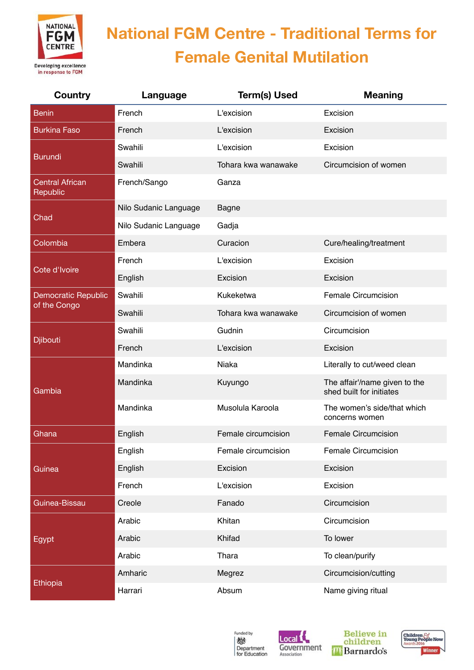

| Country                            | Language              | <b>Term(s) Used</b> | <b>Meaning</b>                                            |
|------------------------------------|-----------------------|---------------------|-----------------------------------------------------------|
| <b>Benin</b>                       | French                | L'excision          | Excision                                                  |
| <b>Burkina Faso</b>                | French                | L'excision          | Excision                                                  |
| <b>Burundi</b>                     | Swahili               | L'excision          | Excision                                                  |
|                                    | Swahili               | Tohara kwa wanawake | Circumcision of women                                     |
| <b>Central African</b><br>Republic | French/Sango          | Ganza               |                                                           |
| Chad                               | Nilo Sudanic Language | <b>Bagne</b>        |                                                           |
|                                    | Nilo Sudanic Language | Gadja               |                                                           |
| Colombia                           | Embera                | Curacion            | Cure/healing/treatment                                    |
| Cote d'Ivoire                      | French                | L'excision          | Excision                                                  |
|                                    | English               | Excision            | Excision                                                  |
| Democratic Republic                | Swahili               | Kukeketwa           | Female Circumcision                                       |
| of the Congo                       | Swahili               | Tohara kwa wanawake | Circumcision of women                                     |
|                                    | Swahili               | Gudnin              | Circumcision                                              |
| Djibouti                           | French                | L'excision          | Excision                                                  |
|                                    | Mandinka              | <b>Niaka</b>        | Literally to cut/weed clean                               |
| Gambia                             | Mandinka              | Kuyungo             | The affair'/name given to the<br>shed built for initiates |
|                                    | Mandinka              | Musolula Karoola    | The women's side/that which<br>concerns women             |
| Ghana                              | English               | Female circumcision | <b>Female Circumcision</b>                                |
| Guinea                             | English               | Female circumcision | <b>Female Circumcision</b>                                |
|                                    | English               | Excision            | Excision                                                  |
|                                    | French                | L'excision          | Excision                                                  |
| Guinea-Bissau                      | Creole                | Fanado              | Circumcision                                              |
| Egypt                              | Arabic                | Khitan              | Circumcision                                              |
|                                    | Arabic                | Khifad              | To lower                                                  |
|                                    | Arabic                | Thara               | To clean/purify                                           |
| Ethiopia                           | Amharic               | Megrez              | Circumcision/cutting                                      |
|                                    | Harrari               | Absum               | Name giving ritual                                        |







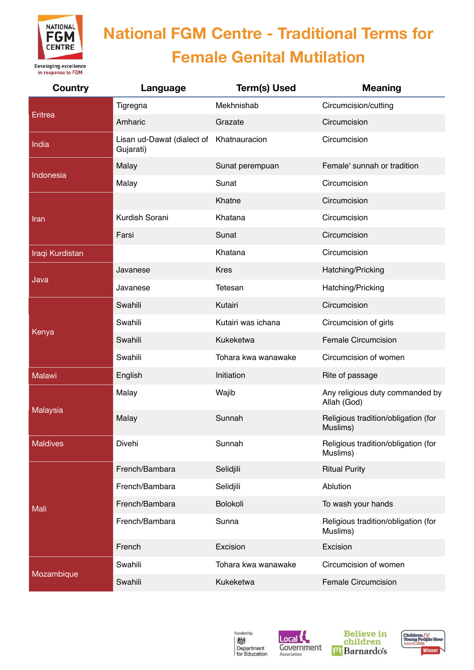

| Country         | Language                                              | <b>Term(s) Used</b> | <b>Meaning</b>                                  |
|-----------------|-------------------------------------------------------|---------------------|-------------------------------------------------|
| Eritrea         | Tigregna                                              | Mekhnishab          | Circumcision/cutting                            |
|                 | Amharic                                               | Grazate             | Circumcision                                    |
| India           | Lisan ud-Dawat (dialect of Khatnauracion<br>Gujarati) |                     | Circumcision                                    |
| Indonesia       | Malay                                                 | Sunat perempuan     | Female' sunnah or tradition                     |
|                 | Malay                                                 | Sunat               | Circumcision                                    |
|                 |                                                       | Khatne              | Circumcision                                    |
| Iran            | Kurdish Sorani                                        | Khatana             | Circumcision                                    |
|                 | Farsi                                                 | Sunat               | Circumcision                                    |
| Iraqi Kurdistan |                                                       | Khatana             | Circumcision                                    |
|                 | Javanese                                              | <b>Kres</b>         | Hatching/Pricking                               |
| Java            | Javanese                                              | Tetesan             | Hatching/Pricking                               |
|                 | Swahili                                               | Kutairi             | Circumcision                                    |
|                 | Swahili                                               | Kutairi was ichana  | Circumcision of girls                           |
| Kenya           | Swahili                                               | Kukeketwa           | <b>Female Circumcision</b>                      |
|                 | Swahili                                               | Tohara kwa wanawake | Circumcision of women                           |
| <b>Malawi</b>   | English                                               | Initiation          | Rite of passage                                 |
| Malaysia        | Malay                                                 | Wajib               | Any religious duty commanded by<br>Allah (God)  |
|                 | Malay                                                 | Sunnah              | Religious tradition/obligation (for<br>Muslims) |
| <b>Maldives</b> | Divehi                                                | Sunnah              | Religious tradition/obligation (for<br>Muslims) |
| Mali            | French/Bambara                                        | Selidjili           | <b>Ritual Purity</b>                            |
|                 | French/Bambara                                        | Selidjili           | Ablution                                        |
|                 | French/Bambara                                        | Bolokoli            | To wash your hands                              |
|                 | French/Bambara                                        | Sunna               | Religious tradition/obligation (for<br>Muslims) |
|                 | French                                                | Excision            | Excision                                        |
| Mozambique      | Swahili                                               | Tohara kwa wanawake | Circumcision of women                           |
|                 | Swahili                                               | Kukeketwa           | <b>Female Circumcision</b>                      |







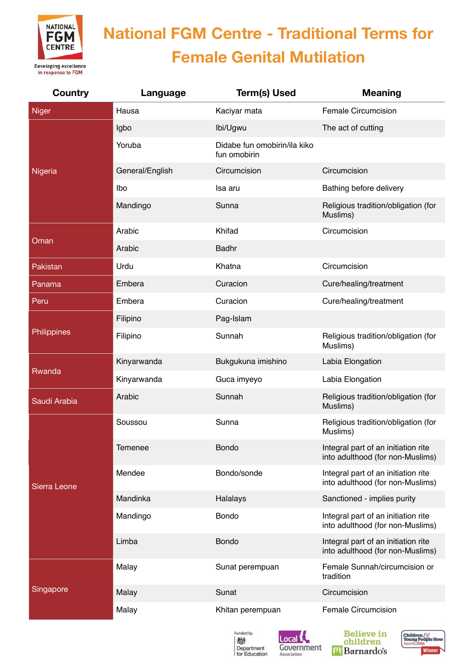

| <b>Country</b> | Language        | <b>Term(s) Used</b>                          | <b>Meaning</b>                                                          |
|----------------|-----------------|----------------------------------------------|-------------------------------------------------------------------------|
| <b>Niger</b>   | Hausa           | Kaciyar mata                                 | Female Circumcision                                                     |
| Nigeria        | Igbo            | Ibi/Ugwu                                     | The act of cutting                                                      |
|                | Yoruba          | Didabe fun omobirin/ila kiko<br>fun omobirin |                                                                         |
|                | General/English | Circumcision                                 | Circumcision                                                            |
|                | Ibo             | Isa aru                                      | Bathing before delivery                                                 |
|                | Mandingo        | Sunna                                        | Religious tradition/obligation (for<br>Muslims)                         |
|                | Arabic          | Khifad                                       | Circumcision                                                            |
| Oman           | Arabic          | <b>Badhr</b>                                 |                                                                         |
| Pakistan       | Urdu            | Khatna                                       | Circumcision                                                            |
| Panama         | Embera          | Curacion                                     | Cure/healing/treatment                                                  |
| Peru           | Embera          | Curacion                                     | Cure/healing/treatment                                                  |
|                | Filipino        | Pag-Islam                                    |                                                                         |
| Philippines    | Filipino        | Sunnah                                       | Religious tradition/obligation (for<br>Muslims)                         |
|                | Kinyarwanda     | Bukgukuna imishino                           | Labia Elongation                                                        |
| Rwanda         | Kinyarwanda     | Guca imyeyo                                  | Labia Elongation                                                        |
| Saudi Arabia   | Arabic          | Sunnah                                       | Religious tradition/obligation (for<br>Muslims)                         |
| Sierra Leone   | Soussou         | Sunna                                        | Religious tradition/obligation (for<br>Muslims)                         |
|                | Temenee         | <b>Bondo</b>                                 | Integral part of an initiation rite<br>into adulthood (for non-Muslims) |
|                | Mendee          | Bondo/sonde                                  | Integral part of an initiation rite<br>into adulthood (for non-Muslims) |
|                | Mandinka        | Halalays                                     | Sanctioned - implies purity                                             |
|                | Mandingo        | Bondo                                        | Integral part of an initiation rite<br>into adulthood (for non-Muslims) |
|                | Limba           | <b>Bondo</b>                                 | Integral part of an initiation rite<br>into adulthood (for non-Muslims) |
| Singapore      | Malay           | Sunat perempuan                              | Female Sunnah/circumcision or<br>tradition                              |
|                | Malay           | Sunat                                        | Circumcision                                                            |
|                | Malay           | Khitan perempuan                             | Female Circumcision                                                     |



Local <sup>{</sup>

Association